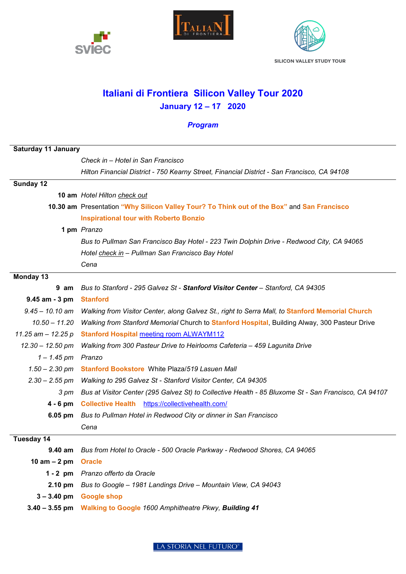





**SILICON VALLEY STUDY TOUR** 

## **Italiani di Frontiera Silicon Valley Tour 2020 January 12 – 17 2020**

## *Program*

| <b>Saturday 11 January</b> |                                                                                                      |
|----------------------------|------------------------------------------------------------------------------------------------------|
|                            | Check in - Hotel in San Francisco                                                                    |
|                            | Hilton Financial District - 750 Kearny Street, Financial District - San Francisco, CA 94108          |
| Sunday 12                  |                                                                                                      |
|                            | 10 am Hotel Hilton check out                                                                         |
|                            | 10.30 am Presentation "Why Silicon Valley Tour? To Think out of the Box" and San Francisco           |
|                            | <b>Inspirational tour with Roberto Bonzio</b>                                                        |
|                            | 1 pm Pranzo                                                                                          |
|                            | Bus to Pullman San Francisco Bay Hotel - 223 Twin Dolphin Drive - Redwood City, CA 94065             |
|                            | Hotel check in - Pullman San Francisco Bay Hotel                                                     |
|                            | Cena                                                                                                 |
| Monday 13                  |                                                                                                      |
| 9 am                       | Bus to Stanford - 295 Galvez St - Stanford Visitor Center - Stanford, CA 94305                       |
| 9.45 am - 3 pm             | <b>Stanford</b>                                                                                      |
| $9.45 - 10.10$ am          | Walking from Visitor Center, along Galvez St., right to Serra Mall, to Stanford Memorial Church      |
| $10.50 - 11.20$            | Walking from Stanford Memorial Church to Stanford Hospital, Building Alway, 300 Pasteur Drive        |
| 11.25 am $-$ 12.25 p       | <b>Stanford Hospital meeting room ALWAYM112</b>                                                      |
| $12.30 - 12.50$ pm         | Walking from 300 Pasteur Drive to Heirlooms Cafeteria - 459 Lagunita Drive                           |
| $1 - 1.45$ pm Pranzo       |                                                                                                      |
| $1.50 - 2.30$ pm           | <b>Stanford Bookstore</b> White Plaza/519 Lasuen Mall                                                |
|                            | 2.30 - 2.55 pm Walking to 295 Galvez St - Stanford Visitor Center, CA 94305                          |
| 3 pm                       | Bus at Visitor Center (295 Galvez St) to Collective Health - 85 Bluxome St - San Francisco, CA 94107 |
| $4 - 6$ pm                 | Collective Health https://collectivehealth.com/                                                      |
| $6.05 \text{ pm}$          | Bus to Pullman Hotel in Redwood City or dinner in San Francisco                                      |
|                            | Cena                                                                                                 |
| Tuesday 14                 |                                                                                                      |
| 9.40 am                    | Bus from Hotel to Oracle - 500 Oracle Parkway - Redwood Shores, CA 94065                             |
| 10 am $-2$ pm              | <b>Oracle</b>                                                                                        |
|                            | 1 - 2 pm Pranzo offerto da Oracle                                                                    |
|                            | 2.10 pm Bus to Google - 1981 Landings Drive - Mountain View, CA 94043                                |
|                            | 3-3.40 pm Google shop                                                                                |
|                            | 3.40 - 3.55 pm Walking to Google 1600 Amphitheatre Pkwy, Building 41                                 |